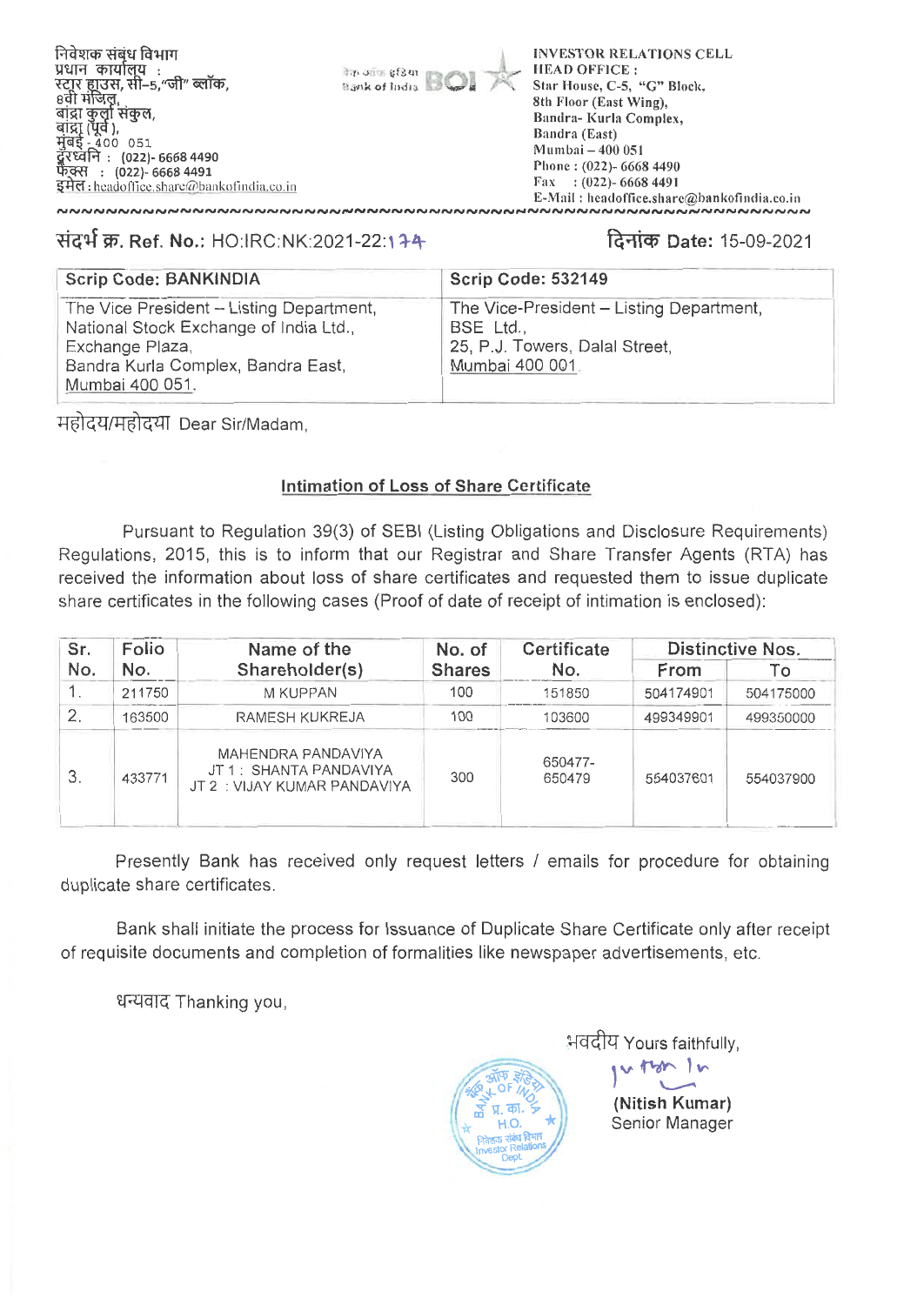

**INVESTOR RELATIONS CELL HEAD OFFICE:** Star House, C-5, "G" Block, 8th Floor (East Wing), Bandra-Kurla Complex. Bandra (East) Mumbai - 400 051 Phone: (022)- 6668 4490  $\text{Fax}$  : (022)- 6668 4491

# संदर्भ क्र. Ref. No.: HO:IRC:NK:2021-22:174

# दिनांक Date: 15-09-2021

E-Mail: headoffice.share@bankofindia.co.in

| <b>Scrip Code: BANKINDIA</b>                                                                                                                                   | <b>Scrip Code: 532149</b>                                                                                  |
|----------------------------------------------------------------------------------------------------------------------------------------------------------------|------------------------------------------------------------------------------------------------------------|
| The Vice President - Listing Department,<br>National Stock Exchange of India Ltd.,<br>Exchange Plaza,<br>Bandra Kurla Complex, Bandra East,<br>Mumbai 400 051. | The Vice-President - Listing Department,<br>BSE Ltd.,<br>25, P.J. Towers, Dalal Street,<br>Mumbai 400 001. |

**India** afsam

Bank of India

महोदय/महोदया Dear Sir/Madam.

## Intimation of Loss of Share Certificate

Pursuant to Regulation 39(3) of SEBI (Listing Obligations and Disclosure Requirements) Regulations, 2015, this is to inform that our Registrar and Share Transfer Agents (RTA) has received the information about loss of share certificates and requested them to issue duplicate share certificates in the following cases (Proof of date of receipt of intimation is enclosed):

| Sr.          | Folio  | Name of the                                                                  | No. of        | Certificate       | <b>Distinctive Nos.</b> |           |  |  |
|--------------|--------|------------------------------------------------------------------------------|---------------|-------------------|-------------------------|-----------|--|--|
| No.          | No.    | Shareholder(s)                                                               | <b>Shares</b> | No.               | From                    | Tο        |  |  |
|              | 211750 | M KUPPAN                                                                     | 100           | 151850            | 504174901               | 504175000 |  |  |
| $\mathbf{2}$ | 163500 | RAMESH KUKREJA                                                               | 100           | 103600            | 499349901               | 499350000 |  |  |
| 3.           | 433771 | MAHENDRA PANDAVIYA<br>JT 1: SHANTA PANDAVIYA<br>JT 2 : VIJAY KUMAR PANDAVIYA | 300           | 650477-<br>650479 | 554037601               | 554037900 |  |  |

Presently Bank has received only request letters / emails for procedure for obtaining duplicate share certificates.

Bank shall initiate the process for Issuance of Duplicate Share Certificate only after receipt of requisite documents and completion of formalities like newspaper advertisements, etc.

धन्यवाद Thanking you.

का.  $H.O.$ 

भवदीय Yours faithfully,

(Nitish Kumar) Senior Manager

other In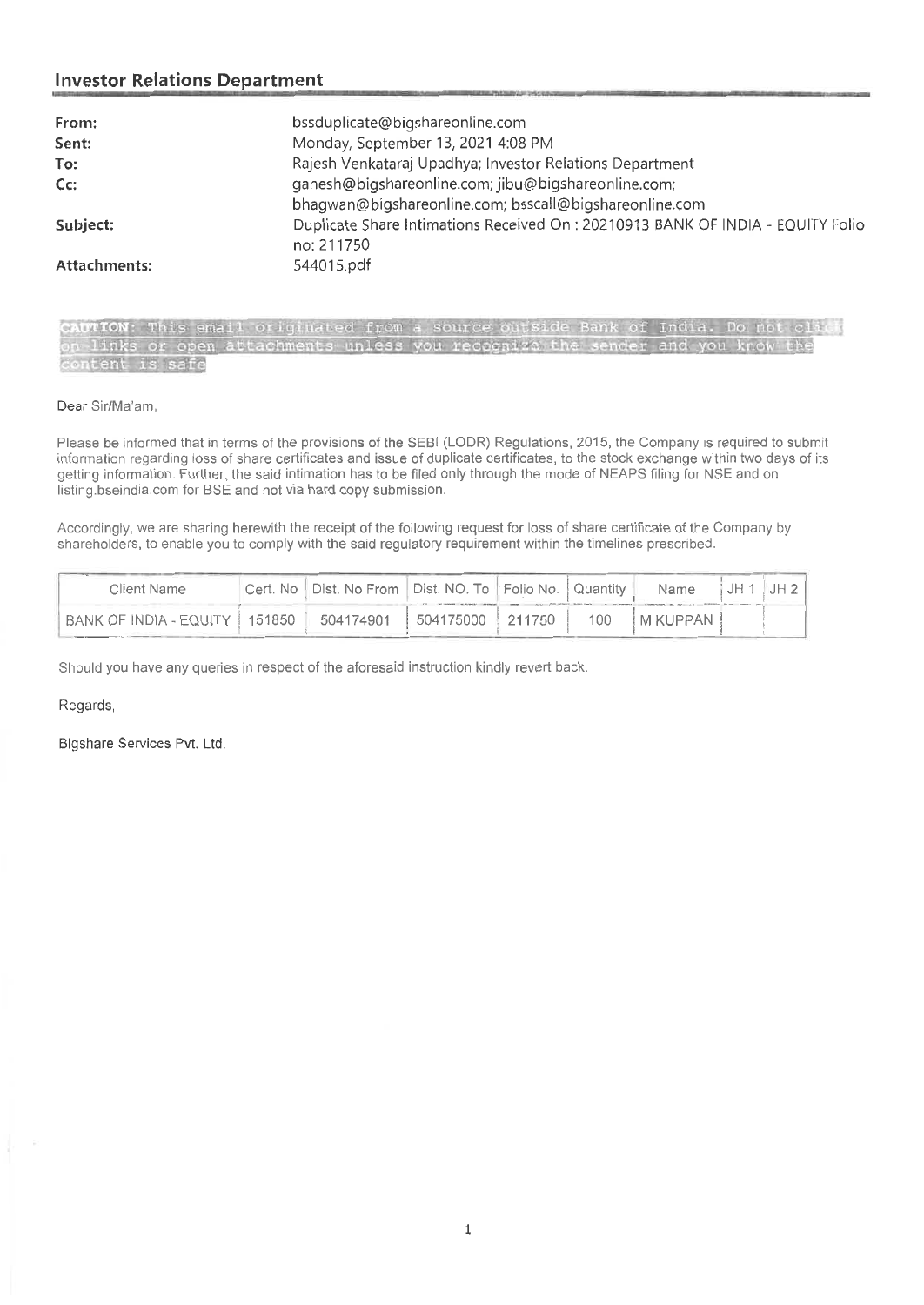# **Investor Relations Department**

| From:        | bssduplicate@bigshareonline.com                                                 |
|--------------|---------------------------------------------------------------------------------|
| Sent:        | Monday, September 13, 2021 4:08 PM                                              |
| To:          | Rajesh Venkataraj Upadhya; Investor Relations Department                        |
| $Cc$ :       | ganesh@bigshareonline.com; jibu@bigshareonline.com;                             |
|              | bhagwan@bigshareonline.com; bsscall@bigshareonline.com                          |
| Subject:     | Duplicate Share Intimations Received On : 20210913 BANK OF INDIA - EQUITY Folio |
|              | no: 211750                                                                      |
| Attachments: | 544015.pdf                                                                      |
|              |                                                                                 |

aana riisma ar swam-maa

| CAUTION: This email originated from a source outside Bank of India. Do not click |  |
|----------------------------------------------------------------------------------|--|
| on links or open attachments unless you recognize the sender and you know the    |  |
| content is safe                                                                  |  |

### Dear Sir/Ma'am,

Please be informed that in terms of the provisions of the SEBI (LODR) Regulations, 2015, the Company is required to submit information regarding loss of share certificates and issue of duplicate certificates, to the stock exchange within two days of its getting information. Further, the said intimation has to be filed only through the mode of NEAPS filing for NSE and on listing.bseindia.com for BSE and not via hard copy submission.

Accordingly, we are sharing herewith the receipt of the following request for loss of share certificate of the Company by shareholders, to enable you to comply with the said regulatory requirement within the timelines prescribed.

| Client Name            |        | Cert. No   Dist. No From   Dist. NO. To   Folio No.   Quantity |                |        |     | Name       | JH 1 | JH 2 1 |
|------------------------|--------|----------------------------------------------------------------|----------------|--------|-----|------------|------|--------|
| BANK OF INDIA - EQUITY | 151850 | 504174901                                                      | $1504175000$ . | 211750 | 100 | M KUPPAN 1 |      |        |

Should you have any queries in respect of the aforesaid instruction kindly revert back.

### Regards,

Bigshare Services Pvt. Ltd.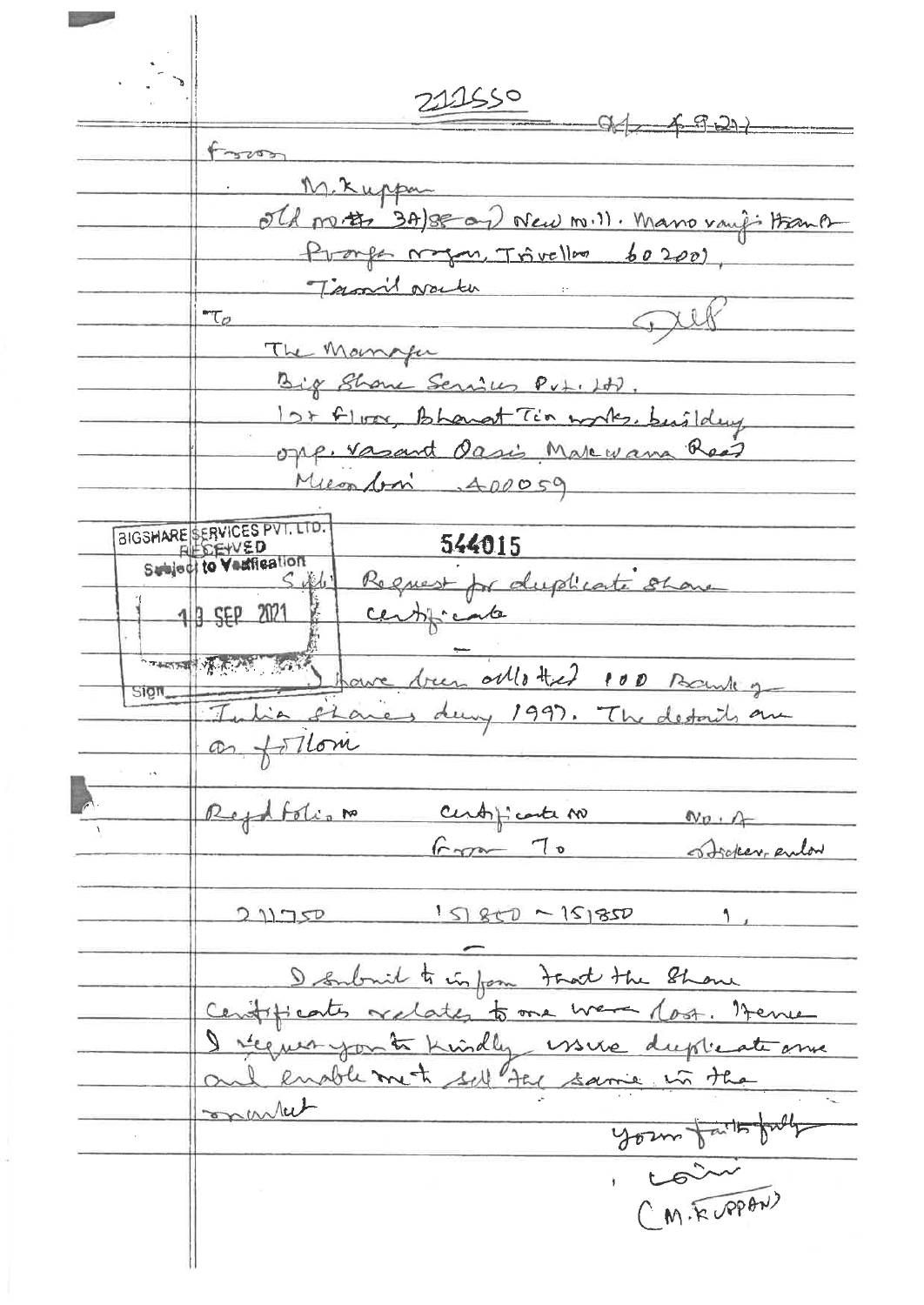211550  $94 - 6921$ Foron M. Kuppa no. # 3A/se and New mill. Mano vaugi Hank Pronfe magan Trivellon  $60200$ Termil over the  $\tau_{\sigma}$ The Manager Big Show Services Put. Ht.  $12 + 61$ Bhangt Tin works, building opp. Vasant Oasis Makevana Read Miconfon 400059 BIGSHARE SERVICES PVT. LTD. 544015 Request for duplicate show  $SAL$ 3 SEP 2021 centicate The Mexican ollotted 100 Bank Sign,  $e1$ day 1997. The details are  $t$ Tlom  $\ddot{\phantom{a}}$ Reydfolion centificate no  $Np + A$  $6.70 - 70$ Stocker enlar  $15850 - 151850$  $211750$  $\mathbf{1}_{\text{max}}$ built to inform tout the Show  $D_{\text{em}}$  $-$  lost. titicates ates to one Trem requiryon to kindly issue duplicate enable met sell the same in the market your faithfully CM. ROPAN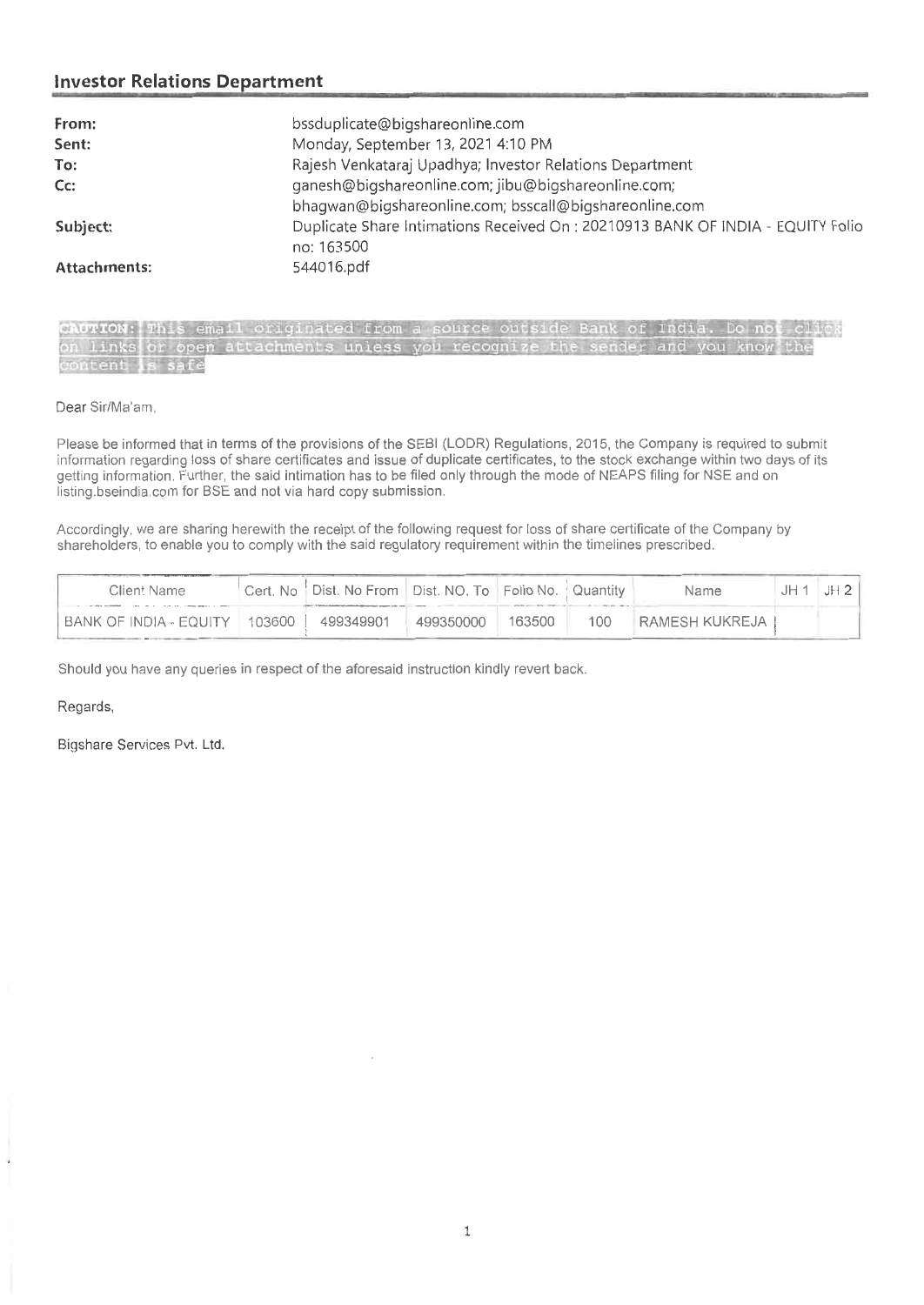### **Investor Relations Department**

| From:        | bssduplicate@bigshareonline.com                                                               |
|--------------|-----------------------------------------------------------------------------------------------|
| Sent:        | Monday, September 13, 2021 4:10 PM                                                            |
| To:          | Rajesh Venkataraj Upadhya; Investor Relations Department                                      |
| $Cc$ :       | ganesh@bigshareonline.com; jibu@bigshareonline.com;                                           |
|              | bhagwan@bigshareonline.com; bsscall@bigshareonline.com                                        |
| Subject:     | Duplicate Share Intimations Received On : 20210913 BANK OF INDIA - EQUITY Folio<br>no: 163500 |
| Attachments: | 544016.pdf                                                                                    |

| CAUTION: This email originated from a source outside Bank of India. Do not click |  |  |  |  |  |  |  |  |  |  |
|----------------------------------------------------------------------------------|--|--|--|--|--|--|--|--|--|--|
| on links or open attachments unless you recognize the sender and you know the    |  |  |  |  |  |  |  |  |  |  |
| content is safe                                                                  |  |  |  |  |  |  |  |  |  |  |

### Dear Sir/Ma'am,

Please be informed that in terms of the provisions of the SEBI (LODR) Regulations, 2015, the Company is required to submit information regarding loss of share certificates and issue of duplicate certificates, to the stock exchange within two days of its getting information. Further, the said intimation has to be filed only through the mode of NEAPS filing for NSE and on listing.bseindia.com for BSE and not via hard copy submission.

Accordingly, we are sharing herewith the receipt of the following request for loss of share certificate of the Company by shareholders, to enable you to comply with the said regulatory requirement within the timelines prescribed.

| Client Name            |        | Cert. No Dist. No From Dist. NO. To Folio No. Quantity |           |        |     | Name           | ∵IH . | JH 2 |
|------------------------|--------|--------------------------------------------------------|-----------|--------|-----|----------------|-------|------|
| BANK OF INDIA - EQUITY | 103600 | 499349901                                              | 499350000 | 163500 | 100 | RAMESH KUKREJA |       |      |

Should you have any queries in respect of the aforesaid instruction kindly revert back.

Regards,

Bigshare Services Pvt. Ltd.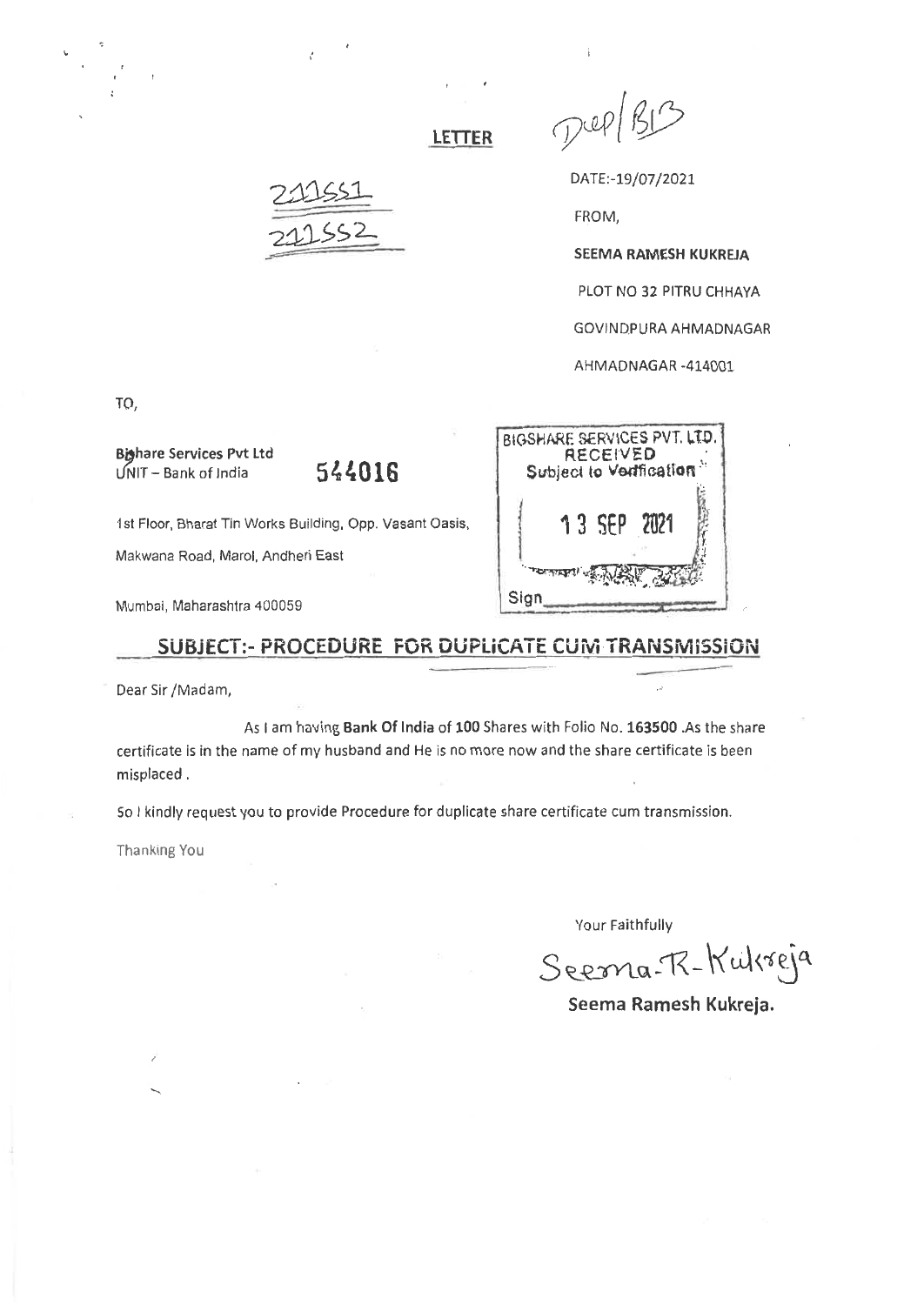$D^{QP}$ 

DATE:-19/07/2021

FROM,

SEEMA RAMESH KUKREJA

PLOT NO 32 PITRU CHHAYA

GOVINDPURA AHMADNAGAR

AHMADNAGAR -414001

TO,

Bighare Services Pvt Ltd UNIT— Bank of India **544016** 

1st Floor, Bharat Tin Works Building, Opp. Vasant Oasis,

Makwana Road, Marol, Andheri East

Mumbai, Maharashtra 400059

## **SUBJECT:- PROCEDURE FOR DUPLICATE CUM TRANSMISSION**

**LETTER** 

Dear Sir /Madam,

As I am having **Bank** Of India of **100** Shares with Folio No. **163500** .As the share certificate is in the name of my husband and He is no more now and the share certificate is been misplaced .

So I kindly request you to provide Procedure for duplicate share certificate cum transmission.

Thanking You

Your Faithfully

Seema-R-Kukreja

**Seema Ramesh Kukreja.** 

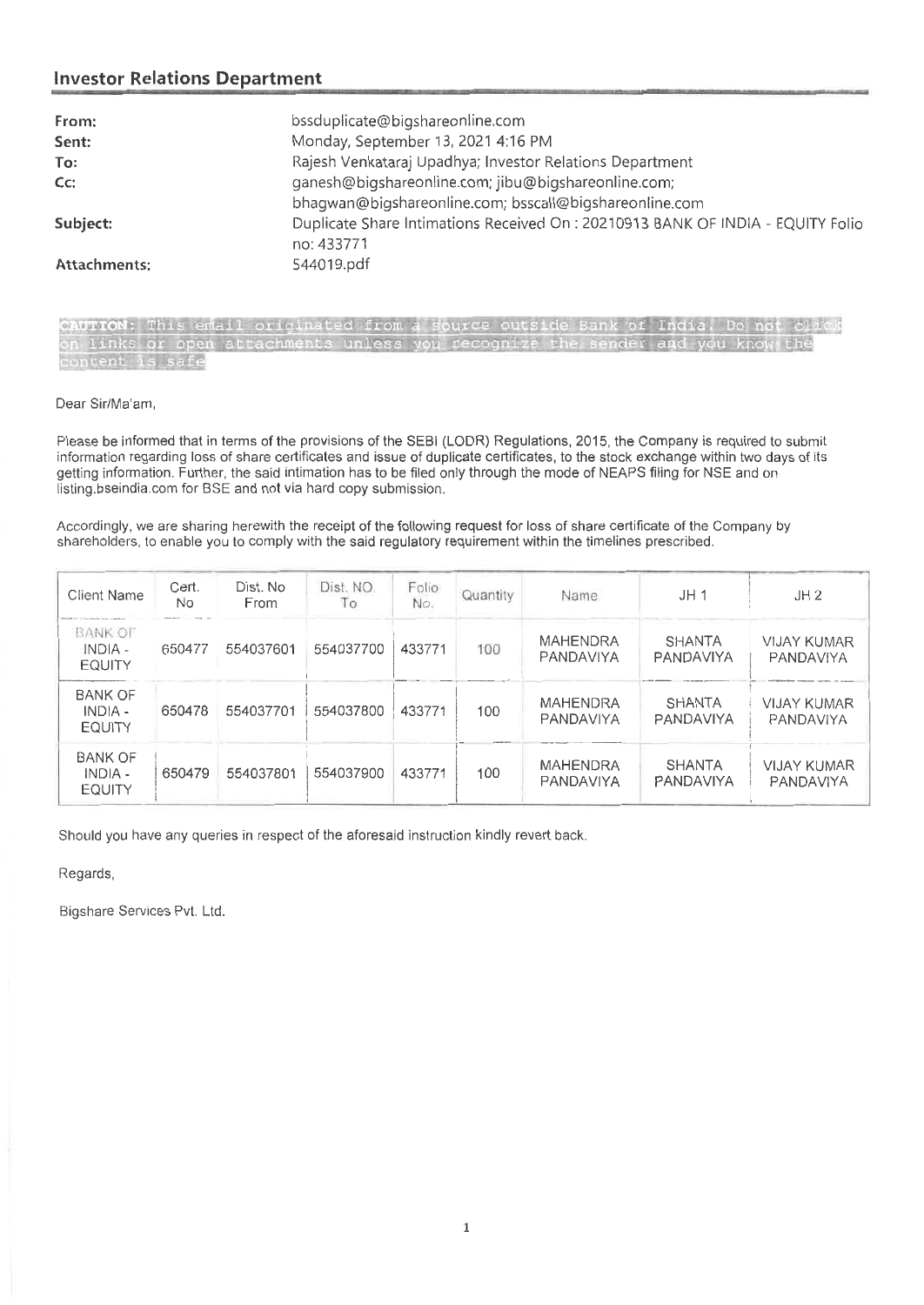# **Investor Relations Department**

| From:        | bssduplicate@bigshareonline.com                                                              |
|--------------|----------------------------------------------------------------------------------------------|
| Sent:        | Monday, September 13, 2021 4:16 PM                                                           |
| To:          | Rajesh Venkataraj Upadhya; Investor Relations Department                                     |
| $Cc$ :       | ganesh@bigshareonline.com; jibu@bigshareonline.com;                                          |
|              | bhagwan@bigshareonline.com; bsscall@bigshareonline.com                                       |
| Subject:     | Duplicate Share Intimations Received On: 20210913 BANK OF INDIA - EQUITY Folio<br>no: 433771 |
| Attachments: | 544019.pdf                                                                                   |

| CAUTION: This email originated from a source outside Bank of India. Do not click |  |  |  |  |  |  |  |  |
|----------------------------------------------------------------------------------|--|--|--|--|--|--|--|--|
| on links or open attachments unless you recognize the sender and you know the    |  |  |  |  |  |  |  |  |
| content is safe                                                                  |  |  |  |  |  |  |  |  |

### Dear Sir/Ma'am,

Please be informed that in terms of the provisions of the SEBI (LODR) Regulations, 2015, the Company is required to submit information regarding loss of share certificates and issue of duplicate certificates, to the stock exchange within two days of its getting information. Further, the said intimation has to be filed only through the mode of NEAPS filing for NSE and on listing.bseindia.com for BSE and not via hard copy submission.

Accordingly, we are sharing herewith the receipt of the following request for loss of share certificate of the Company by shareholders, to enable you to comply with the said regulatory requirement within the timelines prescribed.

| <b>Client Name</b>                           | Cert.<br>No. | Dist. No<br>From | Dist. NO.<br>Τo | Folio<br>No. | Quantity | Name.                        | JH <sub>1</sub>            | JH2                             |
|----------------------------------------------|--------------|------------------|-----------------|--------------|----------|------------------------------|----------------------------|---------------------------------|
| <b>BANK OF</b><br>$INDIA -$<br><b>EQUITY</b> | 650477       | 554037601        | 554037700       | 433771       | 100      | <b>MAHENDRA</b><br>PANDAVIYA | <b>SHANTA</b><br>PANDAVIYA | <b>VIJAY KUMAR</b><br>PANDAVIYA |
| <b>BANK OF</b><br>INDIA -<br><b>EQUITY</b>   | 650478       | 554037701        | 554037800       | 433771       | 100      | <b>MAHENDRA</b><br>PANDAVIYA | <b>SHANTA</b><br>PANDAVIYA | <b>VIJAY KUMAR</b><br>PANDAVIYA |
| <b>BANK OF</b><br>INDIA -<br><b>EQUITY</b>   | 650479       | 554037801        | 554037900       | 433771       | 100      | MAHENDRA<br>PANDAVIYA        | <b>SHANTA</b><br>PANDAVIYA | <b>VIJAY KUMAR</b><br>PANDAVIYA |

Should you have any queries in respect of the aforesaid instruction kindly revert back.

Regards,

Bigshare Services Pvt. Ltd.